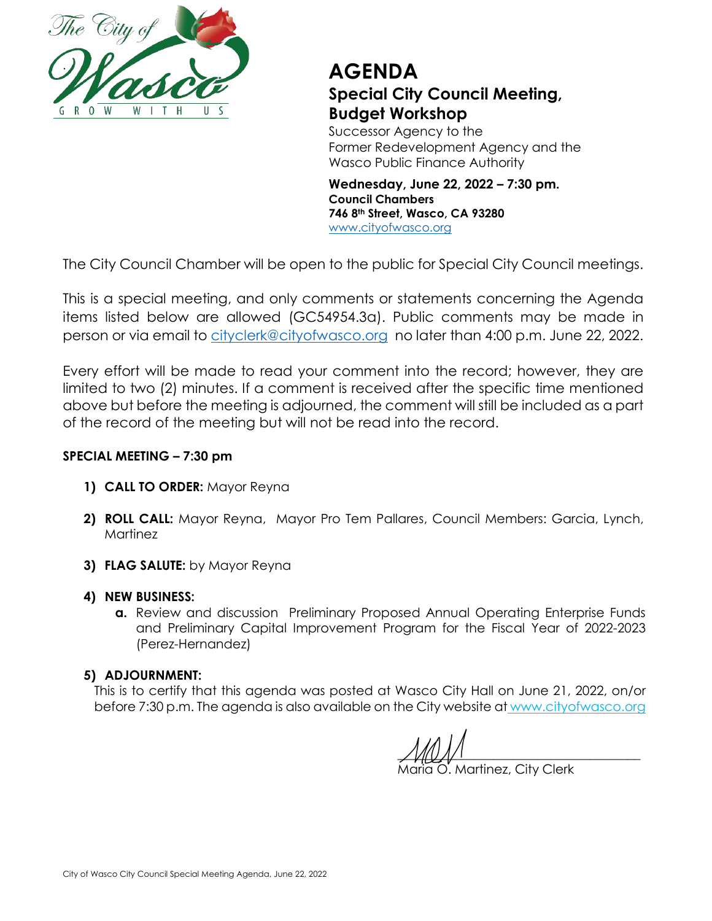

## **AGENDA Special City Council Meeting, Budget Workshop**

Successor Agency to the Former Redevelopment Agency and the Wasco Public Finance Authority

**Wednesday, June 22, 2022 – 7:30 pm. Council Chambers 746 8th Street, Wasco, CA 93280** [www.cityofwasco.org](http://www.cityofwasco.org/)

The City Council Chamber will be open to the public for Special City Council meetings.

This is a special meeting, and only comments or statements concerning the Agenda items listed below are allowed (GC54954.3a). Public comments may be made in person or via email to [cityclerk@cityofwasco.org](mailto:cityclerk@cityofwasco.org) no later than 4:00 p.m. June 22, 2022.

Every effort will be made to read your comment into the record; however, they are limited to two (2) minutes. If a comment is received after the specific time mentioned above but before the meeting is adjourned, the comment will still be included as a part of the record of the meeting but will not be read into the record.

## **SPECIAL MEETING – 7:30 pm**

- **1) CALL TO ORDER:** Mayor Reyna
- **2) ROLL CALL:** Mayor Reyna, Mayor Pro Tem Pallares, Council Members: Garcia, Lynch, Martinez
- **3) FLAG SALUTE:** by Mayor Reyna
- **4) NEW BUSINESS:**
	- **a.** Review and discussion Preliminary Proposed Annual Operating Enterprise Funds and Preliminary Capital Improvement Program for the Fiscal Year of 2022-2023 (Perez-Hernandez)

## **5) ADJOURNMENT:**

This is to certify that this agenda was posted at Wasco City Hall on June 21, 2022, on/or before 7:30 p.m. The agenda is also available on the City website at www.cityofwasco.org

 $\frac{1}{2}$ 

Maria O. Martinez, City Clerk